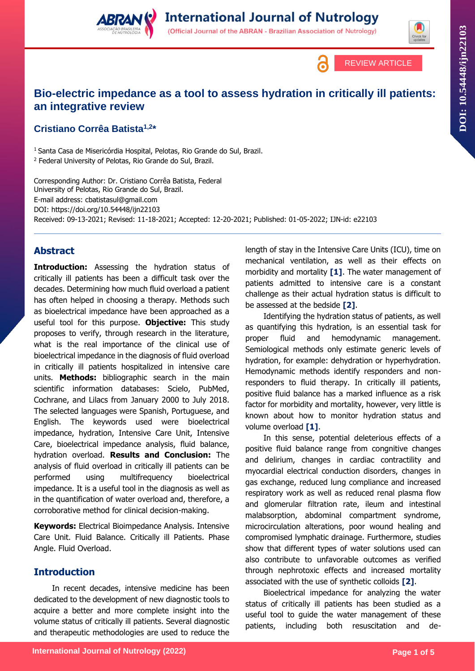**International Journal of Nutrology** (Official Journal of the ABRAN - Brazilian Association of Nutrology)



# **Bio-electric impedance as a tool to assess hydration in critically ill patients: an integrative review**

## **Cristiano Corrêa Batista1,2 \***

<sup>1</sup> Santa Casa de Misericórdia Hospital, Pelotas, Rio Grande do Sul, Brazil. <sup>2</sup> Federal University of Pelotas, Rio Grande do Sul, Brazil.

Corresponding Author: Dr. Cristiano Corrêa Batista, Federal University of Pelotas, Rio Grande do Sul, Brazil. E-mail address: cbatistasul@gmail.com DOI: https://doi.org/10.54448/ijn22103 Received: 09-13-2021; Revised: 11-18-2021; Accepted: 12-20-2021; Published: 01-05-2022; IJN-id: e22103

## **Abstract**

**Introduction:** Assessing the hydration status of critically ill patients has been a difficult task over the decades. Determining how much fluid overload a patient has often helped in choosing a therapy. Methods such as bioelectrical impedance have been approached as a useful tool for this purpose. **Objective:** This study proposes to verify, through research in the literature, what is the real importance of the clinical use of bioelectrical impedance in the diagnosis of fluid overload in critically ill patients hospitalized in intensive care units. **Methods:** bibliographic search in the main scientific information databases: Scielo, PubMed, Cochrane, and Lilacs from January 2000 to July 2018. The selected languages were Spanish, Portuguese, and English. The keywords used were bioelectrical impedance, hydration, Intensive Care Unit, Intensive Care, bioelectrical impedance analysis, fluid balance, hydration overload. **Results and Conclusion:** The analysis of fluid overload in critically ill patients can be performed using multifrequency bioelectrical impedance. It is a useful tool in the diagnosis as well as in the quantification of water overload and, therefore, a corroborative method for clinical decision-making.

**Keywords:** Electrical Bioimpedance Analysis. Intensive Care Unit. Fluid Balance. Critically ill Patients. Phase Angle. Fluid Overload.

#### **Introduction**

In recent decades, intensive medicine has been dedicated to the development of new diagnostic tools to acquire a better and more complete insight into the volume status of critically ill patients. Several diagnostic and therapeutic methodologies are used to reduce the

length of stay in the Intensive Care Units (ICU), time on mechanical ventilation, as well as their effects on morbidity and mortality **[1]**. The water management of patients admitted to intensive care is a constant challenge as their actual hydration status is difficult to be assessed at the bedside **[2]**.

Identifying the hydration status of patients, as well as quantifying this hydration, is an essential task for proper fluid and hemodynamic management. Semiological methods only estimate generic levels of hydration, for example: dehydration or hyperhydration. Hemodynamic methods identify responders and nonresponders to fluid therapy. In critically ill patients, positive fluid balance has a marked influence as a risk factor for morbidity and mortality, however, very little is known about how to monitor hydration status and volume overload **[1]**.

In this sense, potential deleterious effects of a positive fluid balance range from congnitive changes and delirium, changes in cardiac contractility and myocardial electrical conduction disorders, changes in gas exchange, reduced lung compliance and increased respiratory work as well as reduced renal plasma flow and glomerular filtration rate, ileum and intestinal malabsorption, abdominal compartment syndrome, microcirculation alterations, poor wound healing and compromised lymphatic drainage. Furthermore, studies show that different types of water solutions used can also contribute to unfavorable outcomes as verified through nephrotoxic effects and increased mortality associated with the use of synthetic colloids **[2]**.

Bioelectrical impedance for analyzing the water status of critically ill patients has been studied as a useful tool to guide the water management of these patients, including both resuscitation and de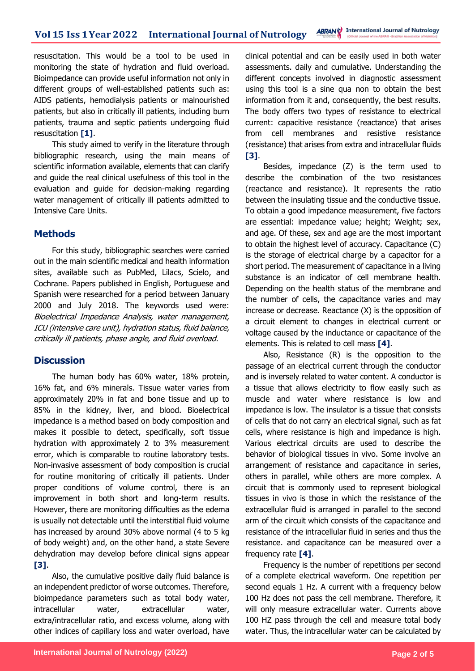resuscitation. This would be a tool to be used in monitoring the state of hydration and fluid overload. Bioimpedance can provide useful information not only in different groups of well-established patients such as: AIDS patients, hemodialysis patients or malnourished patients, but also in critically ill patients, including burn patients, trauma and septic patients undergoing fluid resuscitation **[1]**.

This study aimed to verify in the literature through bibliographic research, using the main means of scientific information available, elements that can clarify and guide the real clinical usefulness of this tool in the evaluation and guide for decision-making regarding water management of critically ill patients admitted to Intensive Care Units.

#### **Methods**

For this study, bibliographic searches were carried out in the main scientific medical and health information sites, available such as PubMed, Lilacs, Scielo, and Cochrane. Papers published in English, Portuguese and Spanish were researched for a period between January 2000 and July 2018. The keywords used were: Bioelectrical Impedance Analysis, water management, ICU (intensive care unit), hydration status, fluid balance, critically ill patients, phase angle, and fluid overload.

## **Discussion**

The human body has 60% water, 18% protein, 16% fat, and 6% minerals. Tissue water varies from approximately 20% in fat and bone tissue and up to 85% in the kidney, liver, and blood. Bioelectrical impedance is a method based on body composition and makes it possible to detect, specifically, soft tissue hydration with approximately 2 to 3% measurement error, which is comparable to routine laboratory tests. Non-invasive assessment of body composition is crucial for routine monitoring of critically ill patients. Under proper conditions of volume control, there is an improvement in both short and long-term results. However, there are monitoring difficulties as the edema is usually not detectable until the interstitial fluid volume has increased by around 30% above normal (4 to 5 kg of body weight) and, on the other hand, a state Severe dehydration may develop before clinical signs appear **[3]**.

Also, the cumulative positive daily fluid balance is an independent predictor of worse outcomes. Therefore, bioimpedance parameters such as total body water, intracellular water, extracellular water, extra/intracellular ratio, and excess volume, along with other indices of capillary loss and water overload, have

clinical potential and can be easily used in both water assessments. daily and cumulative. Understanding the different concepts involved in diagnostic assessment using this tool is a sine qua non to obtain the best information from it and, consequently, the best results. The body offers two types of resistance to electrical current: capacitive resistance (reactance) that arises from cell membranes and resistive resistance (resistance) that arises from extra and intracellular fluids **[3]**.

Besides, impedance (Z) is the term used to describe the combination of the two resistances (reactance and resistance). It represents the ratio between the insulating tissue and the conductive tissue. To obtain a good impedance measurement, five factors are essential: impedance value; height; Weight; sex, and age. Of these, sex and age are the most important to obtain the highest level of accuracy. Capacitance (C) is the storage of electrical charge by a capacitor for a short period. The measurement of capacitance in a living substance is an indicator of cell membrane health. Depending on the health status of the membrane and the number of cells, the capacitance varies and may increase or decrease. Reactance (X) is the opposition of a circuit element to changes in electrical current or voltage caused by the inductance or capacitance of the elements. This is related to cell mass **[4]**.

Also, Resistance (R) is the opposition to the passage of an electrical current through the conductor and is inversely related to water content. A conductor is a tissue that allows electricity to flow easily such as muscle and water where resistance is low and impedance is low. The insulator is a tissue that consists of cells that do not carry an electrical signal, such as fat cells, where resistance is high and impedance is high. Various electrical circuits are used to describe the behavior of biological tissues in vivo. Some involve an arrangement of resistance and capacitance in series, others in parallel, while others are more complex. A circuit that is commonly used to represent biological tissues in vivo is those in which the resistance of the extracellular fluid is arranged in parallel to the second arm of the circuit which consists of the capacitance and resistance of the intracellular fluid in series and thus the resistance. and capacitance can be measured over a frequency rate **[4]**.

Frequency is the number of repetitions per second of a complete electrical waveform. One repetition per second equals 1 Hz. A current with a frequency below 100 Hz does not pass the cell membrane. Therefore, it will only measure extracellular water. Currents above 100 HZ pass through the cell and measure total body water. Thus, the intracellular water can be calculated by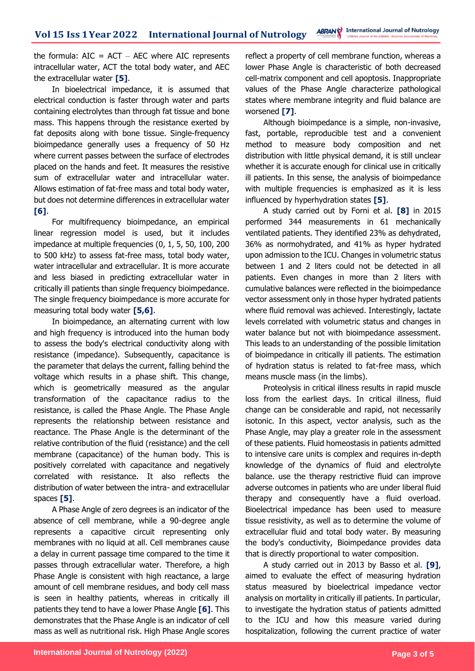the formula:  $AIC = ACT - AEC$  where  $AIC$  represents intracellular water, ACT the total body water, and AEC the extracellular water **[5]**.

In bioelectrical impedance, it is assumed that electrical conduction is faster through water and parts containing electrolytes than through fat tissue and bone mass. This happens through the resistance exerted by fat deposits along with bone tissue. Single-frequency bioimpedance generally uses a frequency of 50 Hz where current passes between the surface of electrodes placed on the hands and feet. It measures the resistive sum of extracellular water and intracellular water. Allows estimation of fat-free mass and total body water, but does not determine differences in extracellular water **[6]**.

For multifrequency bioimpedance, an empirical linear regression model is used, but it includes impedance at multiple frequencies (0, 1, 5, 50, 100, 200 to 500 kHz) to assess fat-free mass, total body water, water intracellular and extracellular. It is more accurate and less biased in predicting extracellular water in critically ill patients than single frequency bioimpedance. The single frequency bioimpedance is more accurate for measuring total body water **[5,6]**.

In bioimpedance, an alternating current with low and high frequency is introduced into the human body to assess the body's electrical conductivity along with resistance (impedance). Subsequently, capacitance is the parameter that delays the current, falling behind the voltage which results in a phase shift. This change, which is geometrically measured as the angular transformation of the capacitance radius to the resistance, is called the Phase Angle. The Phase Angle represents the relationship between resistance and reactance. The Phase Angle is the determinant of the relative contribution of the fluid (resistance) and the cell membrane (capacitance) of the human body. This is positively correlated with capacitance and negatively correlated with resistance. It also reflects the distribution of water between the intra- and extracellular spaces **[5]**.

A Phase Angle of zero degrees is an indicator of the absence of cell membrane, while a 90-degree angle represents a capacitive circuit representing only membranes with no liquid at all. Cell membranes cause a delay in current passage time compared to the time it passes through extracellular water. Therefore, a high Phase Angle is consistent with high reactance, a large amount of cell membrane residues, and body cell mass is seen in healthy patients, whereas in critically ill patients they tend to have a lower Phase Angle **[6]**. This demonstrates that the Phase Angle is an indicator of cell mass as well as nutritional risk. High Phase Angle scores

reflect a property of cell membrane function, whereas a lower Phase Angle is characteristic of both decreased cell-matrix component and cell apoptosis. Inappropriate values of the Phase Angle characterize pathological states where membrane integrity and fluid balance are worsened **[7]**.

Although bioimpedance is a simple, non-invasive, fast, portable, reproducible test and a convenient method to measure body composition and net distribution with little physical demand, it is still unclear whether it is accurate enough for clinical use in critically ill patients. In this sense, the analysis of bioimpedance with multiple frequencies is emphasized as it is less influenced by hyperhydration states **[5]**.

A study carried out by Forni et al. **[8]** in 2015 performed 344 measurements in 61 mechanically ventilated patients. They identified 23% as dehydrated, 36% as normohydrated, and 41% as hyper hydrated upon admission to the ICU. Changes in volumetric status between 1 and 2 liters could not be detected in all patients. Even changes in more than 2 liters with cumulative balances were reflected in the bioimpedance vector assessment only in those hyper hydrated patients where fluid removal was achieved. Interestingly, lactate levels correlated with volumetric status and changes in water balance but not with bioimpedance assessment. This leads to an understanding of the possible limitation of bioimpedance in critically ill patients. The estimation of hydration status is related to fat-free mass, which means muscle mass (in the limbs).

Proteolysis in critical illness results in rapid muscle loss from the earliest days. In critical illness, fluid change can be considerable and rapid, not necessarily isotonic. In this aspect, vector analysis, such as the Phase Angle, may play a greater role in the assessment of these patients. Fluid homeostasis in patients admitted to intensive care units is complex and requires in-depth knowledge of the dynamics of fluid and electrolyte balance. use the therapy restrictive fluid can improve adverse outcomes in patients who are under liberal fluid therapy and consequently have a fluid overload. Bioelectrical impedance has been used to measure tissue resistivity, as well as to determine the volume of extracellular fluid and total body water. By measuring the body's conductivity, Bioimpedance provides data that is directly proportional to water composition.

A study carried out in 2013 by Basso et al. **[9]**, aimed to evaluate the effect of measuring hydration status measured by bioelectrical impedance vector analysis on mortality in critically ill patients. In particular, to investigate the hydration status of patients admitted to the ICU and how this measure varied during hospitalization, following the current practice of water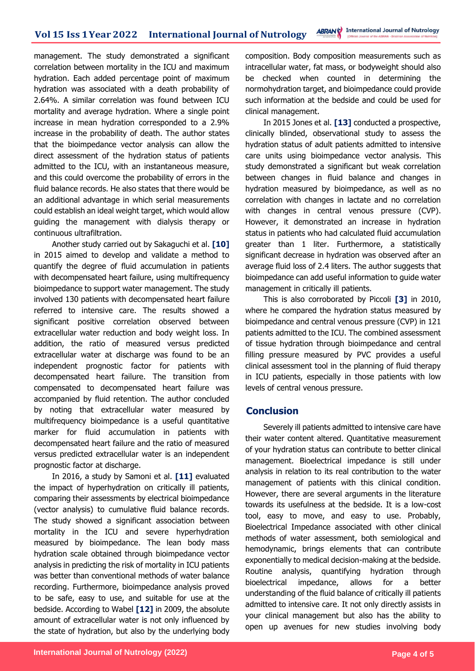management. The study demonstrated a significant correlation between mortality in the ICU and maximum hydration. Each added percentage point of maximum hydration was associated with a death probability of 2.64%. A similar correlation was found between ICU mortality and average hydration. Where a single point increase in mean hydration corresponded to a 2.9% increase in the probability of death. The author states that the bioimpedance vector analysis can allow the direct assessment of the hydration status of patients admitted to the ICU, with an instantaneous measure, and this could overcome the probability of errors in the fluid balance records. He also states that there would be an additional advantage in which serial measurements could establish an ideal weight target, which would allow guiding the management with dialysis therapy or continuous ultrafiltration.

Another study carried out by Sakaguchi et al. **[10]**  in 2015 aimed to develop and validate a method to quantify the degree of fluid accumulation in patients with decompensated heart failure, using multifrequency bioimpedance to support water management. The study involved 130 patients with decompensated heart failure referred to intensive care. The results showed a significant positive correlation observed between extracellular water reduction and body weight loss. In addition, the ratio of measured versus predicted extracellular water at discharge was found to be an independent prognostic factor for patients with decompensated heart failure. The transition from compensated to decompensated heart failure was accompanied by fluid retention. The author concluded by noting that extracellular water measured by multifrequency bioimpedance is a useful quantitative marker for fluid accumulation in patients with decompensated heart failure and the ratio of measured versus predicted extracellular water is an independent prognostic factor at discharge.

In 2016, a study by Samoni et al. **[11]** evaluated the impact of hyperhydration on critically ill patients, comparing their assessments by electrical bioimpedance (vector analysis) to cumulative fluid balance records. The study showed a significant association between mortality in the ICU and severe hyperhydration measured by bioimpedance. The lean body mass hydration scale obtained through bioimpedance vector analysis in predicting the risk of mortality in ICU patients was better than conventional methods of water balance recording. Furthermore, bioimpedance analysis proved to be safe, easy to use, and suitable for use at the bedside. According to Wabel **[12]** in 2009, the absolute amount of extracellular water is not only influenced by the state of hydration, but also by the underlying body

composition. Body composition measurements such as intracellular water, fat mass, or bodyweight should also be checked when counted in determining the normohydration target, and bioimpedance could provide such information at the bedside and could be used for clinical management.

In 2015 Jones et al. **[13]** conducted a prospective, clinically blinded, observational study to assess the hydration status of adult patients admitted to intensive care units using bioimpedance vector analysis. This study demonstrated a significant but weak correlation between changes in fluid balance and changes in hydration measured by bioimpedance, as well as no correlation with changes in lactate and no correlation with changes in central venous pressure (CVP). However, it demonstrated an increase in hydration status in patients who had calculated fluid accumulation greater than 1 liter. Furthermore, a statistically significant decrease in hydration was observed after an average fluid loss of 2.4 liters. The author suggests that bioimpedance can add useful information to guide water management in critically ill patients.

This is also corroborated by Piccoli **[3]** in 2010, where he compared the hydration status measured by bioimpedance and central venous pressure (CVP) in 121 patients admitted to the ICU. The combined assessment of tissue hydration through bioimpedance and central filling pressure measured by PVC provides a useful clinical assessment tool in the planning of fluid therapy in ICU patients, especially in those patients with low levels of central venous pressure.

## **Conclusion**

Severely ill patients admitted to intensive care have their water content altered. Quantitative measurement of your hydration status can contribute to better clinical management. Bioelectrical impedance is still under analysis in relation to its real contribution to the water management of patients with this clinical condition. However, there are several arguments in the literature towards its usefulness at the bedside. It is a low-cost tool, easy to move, and easy to use. Probably, Bioelectrical Impedance associated with other clinical methods of water assessment, both semiological and hemodynamic, brings elements that can contribute exponentially to medical decision-making at the bedside. Routine analysis, quantifying hydration through bioelectrical impedance, allows for a better understanding of the fluid balance of critically ill patients admitted to intensive care. It not only directly assists in your clinical management but also has the ability to open up avenues for new studies involving body